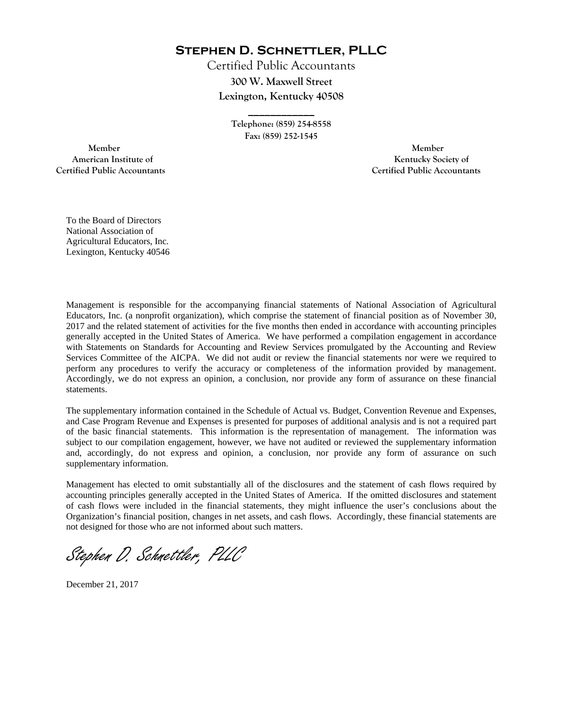**Stephen D. Schnettler, PLLC**

Certified Public Accountants **300 W. Maxwell Street Lexington, Kentucky 40508** 

> **Telephone: (859) 254-8558 Fax: (859) 252-1545**

**\_\_\_\_\_\_\_\_\_\_\_\_** 

 **Member Member Certified Public Accountants Certified Public Accountants** 

American Institute of **Kentucky Society of** 

To the Board of Directors National Association of Agricultural Educators, Inc. Lexington, Kentucky 40546

Management is responsible for the accompanying financial statements of National Association of Agricultural Educators, Inc. (a nonprofit organization), which comprise the statement of financial position as of November 30, 2017 and the related statement of activities for the five months then ended in accordance with accounting principles generally accepted in the United States of America. We have performed a compilation engagement in accordance with Statements on Standards for Accounting and Review Services promulgated by the Accounting and Review Services Committee of the AICPA. We did not audit or review the financial statements nor were we required to perform any procedures to verify the accuracy or completeness of the information provided by management. Accordingly, we do not express an opinion, a conclusion, nor provide any form of assurance on these financial statements.

The supplementary information contained in the Schedule of Actual vs. Budget, Convention Revenue and Expenses, and Case Program Revenue and Expenses is presented for purposes of additional analysis and is not a required part of the basic financial statements. This information is the representation of management. The information was subject to our compilation engagement, however, we have not audited or reviewed the supplementary information and, accordingly, do not express and opinion, a conclusion, nor provide any form of assurance on such supplementary information.

Management has elected to omit substantially all of the disclosures and the statement of cash flows required by accounting principles generally accepted in the United States of America. If the omitted disclosures and statement of cash flows were included in the financial statements, they might influence the user's conclusions about the Organization's financial position, changes in net assets, and cash flows. Accordingly, these financial statements are not designed for those who are not informed about such matters.

Stephen D. Schnettler, PLLC

December 21, 2017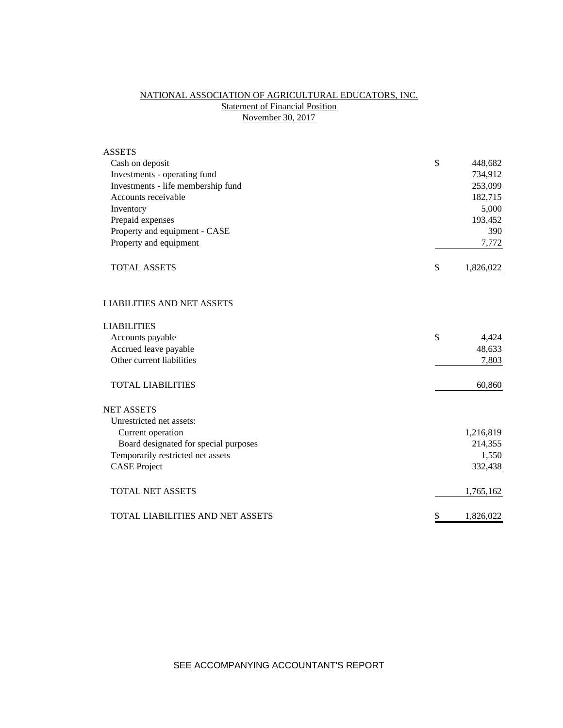# NATIONAL ASSOCIATION OF AGRICULTURAL EDUCATORS, INC. **Statement of Financial Position** November 30, 2017

| <b>ASSETS</b>                           |                 |
|-----------------------------------------|-----------------|
| Cash on deposit                         | \$<br>448,682   |
| Investments - operating fund            | 734,912         |
| Investments - life membership fund      | 253,099         |
| Accounts receivable                     | 182,715         |
| Inventory                               | 5,000           |
| Prepaid expenses                        | 193,452         |
| Property and equipment - CASE           | 390             |
| Property and equipment                  | 7,772           |
| <b>TOTAL ASSETS</b>                     | \$<br>1,826,022 |
| <b>LIABILITIES AND NET ASSETS</b>       |                 |
| <b>LIABILITIES</b>                      |                 |
| Accounts payable                        | \$<br>4,424     |
| Accrued leave payable                   | 48,633          |
| Other current liabilities               | 7,803           |
| <b>TOTAL LIABILITIES</b>                | 60,860          |
| <b>NET ASSETS</b>                       |                 |
| Unrestricted net assets:                |                 |
| Current operation                       | 1,216,819       |
| Board designated for special purposes   | 214,355         |
| Temporarily restricted net assets       | 1,550           |
| <b>CASE Project</b>                     | 332,438         |
| <b>TOTAL NET ASSETS</b>                 | 1,765,162       |
| <b>TOTAL LIABILITIES AND NET ASSETS</b> | \$<br>1,826,022 |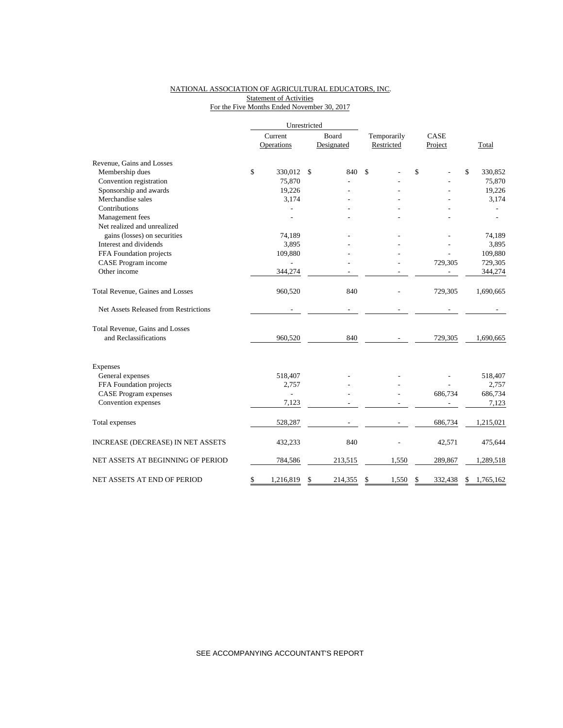### NATIONAL ASSOCIATION OF AGRICULTURAL EDUCATORS, INC. **Statement of Activities** For the Five Months Ended November 30, 2017

|                                       |         | Unrestricted             |    |            |             |      |         |                 |
|---------------------------------------|---------|--------------------------|----|------------|-------------|------|---------|-----------------|
|                                       | Current |                          |    | Board      | Temporarily | CASE |         |                 |
|                                       |         | Operations               |    | Designated | Restricted  |      | Project | Total           |
| Revenue, Gains and Losses             |         |                          |    |            |             |      |         |                 |
| Membership dues                       | \$      | 330,012                  | \$ | 840        | \$          | \$   |         | \$<br>330,852   |
| Convention registration               |         | 75,870                   |    |            |             |      |         | 75,870          |
| Sponsorship and awards                |         | 19,226                   |    |            |             |      |         | 19,226          |
| Merchandise sales                     |         | 3,174                    |    |            |             |      |         | 3,174           |
| Contributions                         |         |                          |    |            |             |      |         |                 |
| Management fees                       |         |                          |    |            |             |      |         |                 |
| Net realized and unrealized           |         |                          |    |            |             |      |         |                 |
| gains (losses) on securities          |         | 74,189                   |    |            |             |      |         | 74,189          |
| Interest and dividends                |         | 3,895                    |    |            |             |      |         | 3,895           |
| FFA Foundation projects               |         | 109,880                  |    |            |             |      |         | 109,880         |
| CASE Program income                   |         |                          |    |            |             |      | 729,305 | 729,305         |
| Other income                          |         | 344,274                  |    |            |             |      |         | 344,274         |
| Total Revenue, Gaines and Losses      |         | 960,520                  |    | 840        |             |      | 729,305 | 1,690,665       |
| Net Assets Released from Restrictions |         |                          |    |            |             |      |         |                 |
| Total Revenue, Gains and Losses       |         |                          |    |            |             |      |         |                 |
| and Reclassifications                 |         | 960,520                  |    | 840        |             |      | 729,305 | 1,690,665       |
| Expenses                              |         |                          |    |            |             |      |         |                 |
| General expenses                      |         | 518,407                  |    |            |             |      |         | 518,407         |
| FFA Foundation projects               |         | 2,757                    |    |            |             |      |         | 2,757           |
| <b>CASE Program expenses</b>          |         | $\overline{\phantom{a}}$ |    |            |             |      | 686,734 | 686,734         |
| Convention expenses                   |         | 7,123                    |    |            |             |      |         | 7,123           |
| Total expenses                        |         | 528,287                  |    |            |             |      | 686,734 | 1,215,021       |
| INCREASE (DECREASE) IN NET ASSETS     |         | 432,233                  |    | 840        |             |      | 42,571  | 475,644         |
| NET ASSETS AT BEGINNING OF PERIOD     |         | 784,586                  |    | 213,515    | 1,550       |      | 289,867 | 1,289,518       |
| NET ASSETS AT END OF PERIOD           | \$      | 1,216,819                | \$ | 214,355    | \$<br>1,550 | \$   | 332,438 | \$<br>1,765,162 |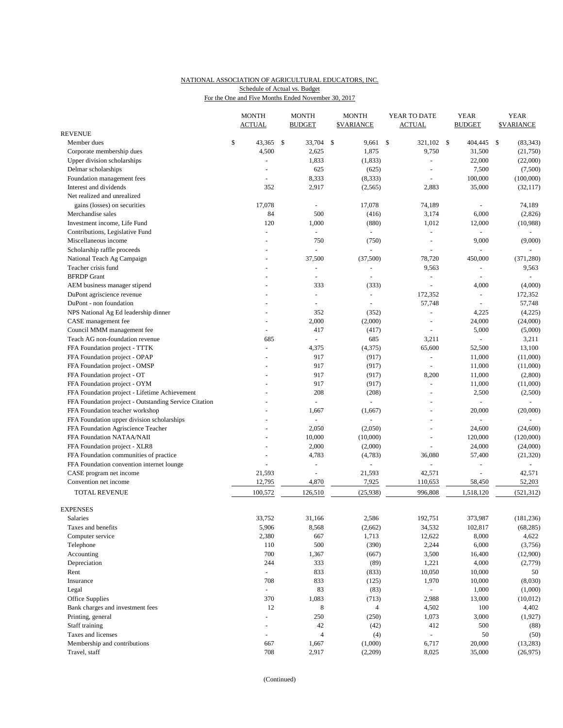# NATIONAL ASSOCIATION OF AGRICULTURAL EDUCATORS, INC. Schedule of Actual vs. Budget

For the One and Five Months Ended November 30, 2017

|                                                             |    | <b>MONTH</b><br><b>ACTUAL</b> |      | <b>MONTH</b><br><b>BUDGET</b> |     | <b>MONTH</b><br><b><i>SVARIANCE</i></b> |     | YEAR TO DATE<br><b>ACTUAL</b> |  | <b>YEAR</b><br><b>BUDGET</b> |    | <b>YEAR</b><br><b>SVARIANCE</b> |  |
|-------------------------------------------------------------|----|-------------------------------|------|-------------------------------|-----|-----------------------------------------|-----|-------------------------------|--|------------------------------|----|---------------------------------|--|
| <b>REVENUE</b>                                              |    |                               |      |                               |     |                                         |     |                               |  |                              |    |                                 |  |
| Member dues                                                 | \$ | 43,365                        | - \$ | 33,704                        | -\$ | 9,661                                   | -\$ | 321,102 \$                    |  | 404,445                      | \$ | (83, 343)                       |  |
| Corporate membership dues                                   |    | 4,500                         |      | 2,625                         |     | 1,875                                   |     | 9,750                         |  | 31,500                       |    | (21,750)                        |  |
| Upper division scholarships                                 |    |                               |      | 1,833                         |     | (1, 833)                                |     | ä,                            |  | 22,000                       |    | (22,000)                        |  |
| Delmar scholarships                                         |    | $\overline{a}$                |      | 625                           |     | (625)                                   |     | ÷,                            |  | 7,500                        |    | (7,500)                         |  |
| Foundation management fees                                  |    |                               |      | 8,333                         |     | (8,333)                                 |     |                               |  | 100,000                      |    | (100,000)                       |  |
| Interest and dividends                                      |    | 352                           |      | 2,917                         |     | (2, 565)                                |     | 2,883                         |  | 35,000                       |    | (32, 117)                       |  |
| Net realized and unrealized                                 |    |                               |      |                               |     |                                         |     |                               |  |                              |    |                                 |  |
| gains (losses) on securities                                |    | 17,078                        |      | $\overline{\phantom{a}}$      |     | 17,078                                  |     | 74,189                        |  | ä,                           |    | 74,189                          |  |
| Merchandise sales                                           |    | 84                            |      | 500                           |     | (416)                                   |     | 3,174                         |  | 6,000                        |    | (2,826)                         |  |
| Investment income, Life Fund                                |    | 120                           |      | 1,000                         |     | (880)                                   |     | 1,012                         |  | 12,000                       |    | (10,988)                        |  |
| Contributions, Legislative Fund                             |    |                               |      | $\omega$                      |     | $\bar{\phantom{a}}$                     |     | $\blacksquare$                |  |                              |    |                                 |  |
| Miscellaneous income                                        |    | $\overline{a}$                |      | 750                           |     | (750)                                   |     | $\sim$                        |  | 9,000                        |    | (9,000)                         |  |
| Scholarship raffle proceeds                                 |    |                               |      |                               |     | $\omega$                                |     |                               |  | ÷.                           |    |                                 |  |
| National Teach Ag Campaign                                  |    |                               |      | 37,500                        |     | (37,500)                                |     | 78,720                        |  | 450,000                      |    | (371, 280)                      |  |
| Teacher crisis fund                                         |    |                               |      | $\overline{\phantom{a}}$      |     | $\overline{\phantom{a}}$                |     | 9,563                         |  | $\qquad \qquad \blacksquare$ |    | 9,563                           |  |
| <b>BFRDP</b> Grant                                          |    |                               |      | $\sim$                        |     |                                         |     | $\overline{\phantom{a}}$      |  |                              |    | $\overline{\phantom{a}}$        |  |
| AEM business manager stipend                                |    |                               |      | 333                           |     | (333)                                   |     | L,                            |  | 4,000                        |    | (4,000)                         |  |
| DuPont agriscience revenue                                  |    |                               |      | $\overline{\phantom{a}}$      |     | $\blacksquare$                          |     | 172,352                       |  | $\blacksquare$               |    | 172,352                         |  |
| DuPont - non foundation                                     |    |                               |      |                               |     |                                         |     | 57,748                        |  |                              |    | 57,748                          |  |
| NPS National Ag Ed leadership dinner                        |    |                               |      | 352                           |     | (352)                                   |     | $\bar{\phantom{a}}$           |  | 4,225                        |    | (4,225)                         |  |
| CASE management fee                                         |    |                               |      | 2,000                         |     | (2,000)                                 |     | ä,                            |  | 24,000                       |    | (24,000)                        |  |
| Council MMM management fee                                  |    |                               |      | 417<br>$\Box$                 |     | (417)                                   |     |                               |  | 5,000<br>$\overline{a}$      |    | (5,000)                         |  |
| Teach AG non-foundation revenue                             |    | 685<br>L.                     |      |                               |     | 685                                     |     | 3,211                         |  |                              |    | 3,211                           |  |
| FFA Foundation project - TTTK                               |    |                               |      | 4,375<br>917                  |     | (4,375)                                 |     | 65,600                        |  | 52,500                       |    | 13,100                          |  |
| FFA Foundation project - OPAP                               |    |                               |      | 917                           |     | (917)<br>(917)                          |     | $\overline{\phantom{a}}$      |  | 11,000<br>11,000             |    | (11,000)                        |  |
| FFA Foundation project - OMSP                               |    |                               |      | 917                           |     | (917)                                   |     |                               |  | 11,000                       |    | (11,000)<br>(2,800)             |  |
| FFA Foundation project - OT<br>FFA Foundation project - OYM |    |                               |      | 917                           |     | (917)                                   |     | 8,200<br>$\omega$             |  | 11,000                       |    |                                 |  |
| FFA Foundation project - Lifetime Achievement               |    |                               |      | 208                           |     | (208)                                   |     | L,                            |  | 2,500                        |    | (11,000)<br>(2,500)             |  |
| FFA Foundation project - Outstanding Service Citation       |    |                               |      | $\overline{\phantom{a}}$      |     | $\omega$                                |     | ÷,                            |  | ÷,                           |    |                                 |  |
| FFA Foundation teacher workshop                             |    |                               |      | 1,667                         |     | (1,667)                                 |     | L,                            |  | 20,000                       |    | (20,000)                        |  |
| FFA Foundation upper division scholarships                  |    |                               |      | $\overline{\phantom{a}}$      |     |                                         |     | $\overline{a}$                |  | $\overline{a}$               |    |                                 |  |
| FFA Foundation Agriscience Teacher                          |    |                               |      | 2,050                         |     | (2,050)                                 |     | ÷,                            |  | 24,600                       |    | (24,600)                        |  |
| FFA Foundation NATAA/NAII                                   |    |                               |      | 10,000                        |     | (10,000)                                |     | L.                            |  | 120,000                      |    | (120,000)                       |  |
| FFA Foundation project - XLR8                               |    |                               |      | 2,000                         |     | (2,000)                                 |     | $\blacksquare$                |  | 24,000                       |    | (24,000)                        |  |
| FFA Foundation communities of practice                      |    |                               |      | 4,783                         |     | (4,783)                                 |     | 36,080                        |  | 57,400                       |    | (21, 320)                       |  |
| FFA Foundation convention internet lounge                   |    |                               |      | $\overline{a}$                |     |                                         |     | ÷                             |  | $\overline{a}$               |    | $\sim$                          |  |
| CASE program net income                                     |    | 21,593                        |      |                               |     | 21,593                                  |     | 42,571                        |  |                              |    | 42,571                          |  |
| Convention net income                                       |    | 12,795                        |      | 4,870                         |     | 7,925                                   |     | 110,653                       |  | 58,450                       |    | 52,203                          |  |
| <b>TOTAL REVENUE</b>                                        |    | 100,572                       |      | 126,510                       |     | (25, 938)                               |     | 996,808                       |  | 1,518,120                    |    | (521, 312)                      |  |
|                                                             |    |                               |      |                               |     |                                         |     |                               |  |                              |    |                                 |  |
| <b>EXPENSES</b>                                             |    |                               |      |                               |     |                                         |     |                               |  |                              |    |                                 |  |
| Salaries                                                    |    | 33,752                        |      | 31,166                        |     | 2,586                                   |     | 192,751                       |  | 373,987                      |    | (181, 236)                      |  |
| Taxes and benefits                                          |    | 5,906                         |      | 8,568                         |     | (2,662)                                 |     | 34,532                        |  | 102,817                      |    | (68, 285)                       |  |
| Computer service                                            |    | 2,380                         |      | 667                           |     | 1,713                                   |     | 12,622                        |  | 8,000                        |    | 4,622                           |  |
| Telephone                                                   |    | 110                           |      | 500                           |     | (390)                                   |     | 2,244                         |  | 6,000                        |    | (3,756)                         |  |
| Accounting                                                  |    | 700                           |      | 1,367                         |     | (667)                                   |     | 3,500                         |  | 16,400                       |    | (12,900)                        |  |
| Depreciation                                                |    | 244                           |      | 333                           |     | (89)                                    |     | 1,221                         |  | 4,000                        |    | (2,779)                         |  |
| Rent                                                        |    | $\omega$                      |      | 833                           |     | (833)                                   |     | 10,050                        |  | 10,000                       |    | 50                              |  |
| Insurance                                                   |    | 708                           |      | 833                           |     | (125)                                   |     | 1,970                         |  | 10,000                       |    | (8,030)                         |  |
| Legal                                                       |    | ä,                            |      | 83                            |     | (83)                                    |     |                               |  | 1,000                        |    | (1,000)                         |  |
| Office Supplies                                             |    | 370                           |      | 1,083                         |     | (713)                                   |     | 2,988                         |  | 13,000                       |    | (10,012)                        |  |
| Bank charges and investment fees                            |    | 12                            |      | 8                             |     | $\overline{4}$                          |     | 4,502                         |  | 100                          |    | 4,402                           |  |
| Printing, general                                           |    | $\overline{a}$                |      | 250                           |     | (250)                                   |     | 1,073                         |  | 3,000                        |    | (1,927)                         |  |
| Staff training                                              |    | $\sim$                        |      | $42\,$                        |     | (42)                                    |     | 412                           |  | 500                          |    | (88)                            |  |
| Taxes and licenses                                          |    | L,                            |      | $\overline{4}$                |     | (4)                                     |     | ÷,                            |  | 50                           |    | (50)                            |  |
| Membership and contributions                                |    | 667                           |      | 1,667                         |     | (1,000)                                 |     | 6,717                         |  | 20,000                       |    | (13,283)                        |  |
| Travel, staff                                               |    | 708                           |      | 2,917                         |     | (2,209)                                 |     | 8,025                         |  | 35,000                       |    | (26,975)                        |  |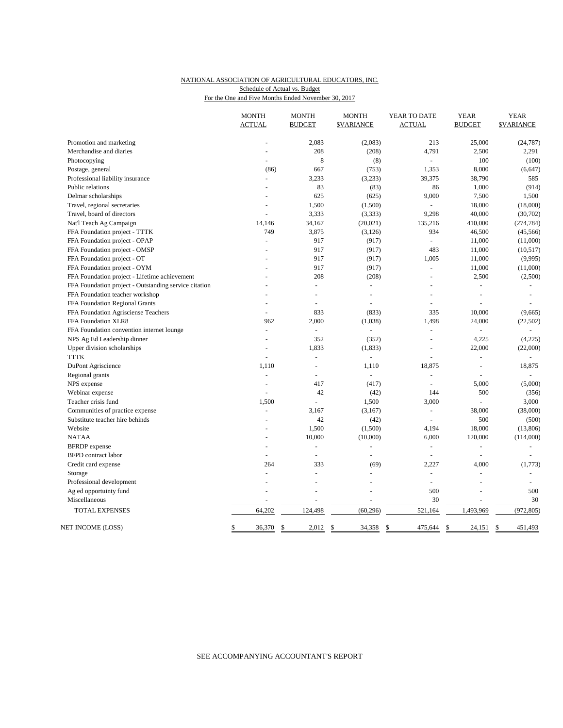### NATIONAL ASSOCIATION OF AGRICULTURAL EDUCATORS, INC. For the One and Five Months Ended November 30, 2017 Schedule of Actual vs. Budget

|                                                       | <b>MONTH</b><br><b>ACTUAL</b> | <b>MONTH</b><br><b>BUDGET</b> | <b>MONTH</b><br><b>\$VARIANCE</b> | YEAR TO DATE<br><b>ACTUAL</b> | <b>YEAR</b><br><b>BUDGET</b> | <b>YEAR</b><br><b><i>SVARIANCE</i></b> |
|-------------------------------------------------------|-------------------------------|-------------------------------|-----------------------------------|-------------------------------|------------------------------|----------------------------------------|
| Promotion and marketing                               |                               | 2,083                         | (2,083)                           | 213                           | 25,000                       | (24, 787)                              |
| Merchandise and diaries                               |                               | 208                           | (208)                             | 4,791                         | 2,500                        | 2,291                                  |
| Photocopying                                          |                               | 8                             | (8)                               | $\overline{a}$                | 100                          | (100)                                  |
| Postage, general                                      | (86)                          | 667                           | (753)                             | 1,353                         | 8,000                        | (6, 647)                               |
| Professional liability insurance                      | L                             | 3,233                         | (3,233)                           | 39,375                        | 38,790                       | 585                                    |
| Public relations                                      |                               | 83                            | (83)                              | 86                            | 1,000                        | (914)                                  |
| Delmar scholarships                                   | L,                            | 625                           | (625)                             | 9,000                         | 7,500                        | 1,500                                  |
| Travel, regional secretaries                          |                               | 1,500                         | (1,500)                           |                               | 18,000                       | (18,000)                               |
| Travel, board of directors                            |                               | 3,333                         | (3,333)                           | 9,298                         | 40,000                       | (30,702)                               |
| Nat'l Teach Ag Campaign                               | 14,146                        | 34,167                        | (20, 021)                         | 135,216                       | 410,000                      | (274, 784)                             |
| FFA Foundation project - TTTK                         | 749                           | 3,875                         | (3, 126)                          | 934                           | 46,500                       | (45, 566)                              |
| FFA Foundation project - OPAP                         | $\overline{a}$                | 917                           | (917)                             | $\overline{a}$                | 11,000                       | (11,000)                               |
| FFA Foundation project - OMSP                         | $\overline{a}$                | 917                           | (917)                             | 483                           | 11,000                       | (10,517)                               |
| FFA Foundation project - OT                           |                               | 917                           | (917)                             | 1,005                         | 11,000                       | (9,995)                                |
| FFA Foundation project - OYM                          |                               | 917                           | (917)                             | $\sim$                        | 11,000                       | (11,000)                               |
| FFA Foundation project - Lifetime achievement         | $\overline{a}$                | 208                           | (208)                             | $\sim$                        | 2,500                        | (2,500)                                |
| FFA Foundation project - Outstanding service citation |                               | ÷,                            | ÷                                 |                               | L.                           |                                        |
| FFA Foundation teacher workshop                       |                               |                               |                                   |                               |                              |                                        |
| FFA Foundation Regional Grants                        | $\overline{a}$                | $\overline{a}$                |                                   | $\overline{a}$                | L,                           |                                        |
| FFA Foundation Agrisciense Teachers                   |                               | 833                           | (833)                             | 335                           | 10,000                       | (9,665)                                |
| FFA Foundation XLR8                                   | 962                           | 2,000                         | (1,038)                           | 1,498                         | 24,000                       | (22, 502)                              |
| FFA Foundation convention internet lounge             | L.                            | ä,                            | ÷                                 | L.                            |                              |                                        |
| NPS Ag Ed Leadership dinner                           | L.                            | 352                           | (352)                             | $\sim$                        | 4,225                        | (4,225)                                |
| Upper division scholarships                           |                               | 1,833                         | (1, 833)                          | L,                            | 22,000                       | (22,000)                               |
| <b>TTTK</b>                                           | $\overline{a}$                | L                             |                                   |                               | $\overline{a}$               |                                        |
| DuPont Agriscience                                    | 1,110                         | L,                            | 1,110                             | 18,875                        | L.                           | 18,875                                 |
| Regional grants                                       | ÷,                            |                               | $\omega$                          |                               |                              |                                        |
| NPS expense                                           | L,                            | 417                           | (417)                             | $\overline{a}$                | 5,000                        | (5,000)                                |
| Webinar expense                                       |                               | 42                            | (42)                              | 144                           | 500                          | (356)                                  |
| Teacher crisis fund                                   | 1,500                         | L,                            | 1,500                             | 3,000                         |                              | 3,000                                  |
| Communities of practice expense                       | $\overline{a}$                | 3,167                         | (3,167)                           | $\overline{a}$                | 38,000                       | (38,000)                               |
| Substitute teacher hire behinds                       | ÷                             | 42                            | (42)                              | $\overline{a}$                | 500                          | (500)                                  |
| Website                                               |                               | 1,500                         | (1,500)                           | 4,194                         | 18,000                       | (13,806)                               |
| <b>NATAA</b>                                          |                               | 10,000                        | (10,000)                          | 6,000                         | 120,000                      | (114,000)                              |
| <b>BFRDP</b> expense                                  | L.                            | ÷                             | ÷                                 | $\sim$                        | $\overline{a}$               | $\sim$                                 |
| <b>BFPD</b> contract labor                            | ÷.                            | L,                            | $\overline{a}$                    | ÷.                            | $\sim$                       | $\sim$                                 |
| Credit card expense                                   | 264                           | 333                           | (69)                              | 2,227                         | 4,000                        | (1,773)                                |
| Storage                                               | ÷                             | L.                            |                                   | L.                            | $\overline{a}$               |                                        |
| Professional development                              |                               | L,                            |                                   | ÷,                            | L.                           |                                        |
| Ag ed opportuinty fund                                |                               | ÷,                            | $\overline{\phantom{a}}$          | 500                           | ÷,                           | 500                                    |
| Miscellaneous                                         |                               | ÷,                            | $\sim$                            | 30                            | $\sim$                       | 30                                     |
| TOTAL EXPENSES                                        | 64,202                        | 124,498                       | (60, 296)                         | 521,164                       | 1,493,969                    | (972, 805)                             |
| NET INCOME (LOSS)                                     | \$<br>36,370                  | \$<br>2,012                   | \$<br>34,358                      | \$<br>475,644                 | \$<br>24,151                 | \$<br>451,493                          |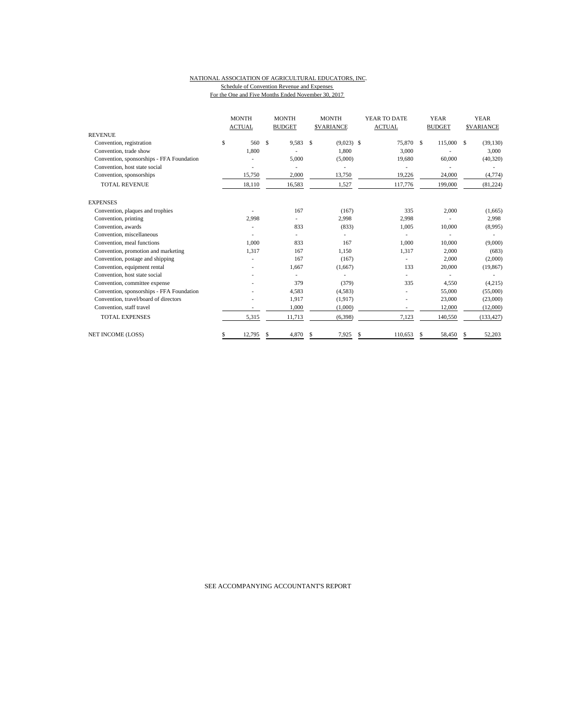#### NATIONAL ASSOCIATION OF AGRICULTURAL EDUCATORS, INC. Schedule of Convention Revenue and Expenses For the One and Five Months Ended November 30, 2017

|                                           | <b>MONTH</b>  |        | <b>MONTH</b>  |     | <b>MONTH</b>      | YEAR TO DATE  |     | <b>YEAR</b>   | <b>YEAR</b> |                   |
|-------------------------------------------|---------------|--------|---------------|-----|-------------------|---------------|-----|---------------|-------------|-------------------|
|                                           | <b>ACTUAL</b> |        | <b>BUDGET</b> |     | <b>\$VARIANCE</b> | <b>ACTUAL</b> |     | <b>BUDGET</b> |             | <b>\$VARIANCE</b> |
| <b>REVENUE</b>                            |               |        |               |     |                   |               |     |               |             |                   |
| Convention, registration                  | \$            | 560    | \$<br>9,583   | \$  | $(9,023)$ \$      | 75,870        | -\$ | 115,000       | -S          | (39, 130)         |
| Convention, trade show                    |               | 1,800  |               |     | 1,800             | 3,000         |     |               |             | 3,000             |
| Convention, sponsorships - FFA Foundation |               |        | 5,000         |     | (5,000)           | 19,680        |     | 60,000        |             | (40, 320)         |
| Convention, host state social             |               |        |               |     |                   |               |     |               |             |                   |
| Convention, sponsorships                  |               | 15,750 | 2,000         |     | 13,750            | 19,226        |     | 24,000        |             | (4, 774)          |
| <b>TOTAL REVENUE</b>                      |               | 18,110 | 16,583        |     | 1,527             | 117,776       |     | 199,000       |             | (81, 224)         |
| <b>EXPENSES</b>                           |               |        |               |     |                   |               |     |               |             |                   |
| Convention, plaques and trophies          |               |        | 167           |     | (167)             | 335           |     | 2,000         |             | (1,665)           |
| Convention, printing                      |               | 2,998  |               |     | 2,998             | 2,998         |     |               |             | 2,998             |
| Convention, awards                        |               |        | 833           |     | (833)             | 1,005         |     | 10,000        |             | (8,995)           |
| Convention, miscellaneous                 |               |        |               |     |                   |               |     |               |             |                   |
| Convention, meal functions                |               | 1.000  | 833           |     | 167               | 1.000         |     | 10.000        |             | (9,000)           |
| Convention, promotion and marketing       |               | 1,317  | 167           |     | 1,150             | 1,317         |     | 2,000         |             | (683)             |
| Convention, postage and shipping          |               |        | 167           |     | (167)             |               |     | 2,000         |             | (2,000)           |
| Convention, equipment rental              |               |        | 1,667         |     | (1,667)           | 133           |     | 20,000        |             | (19, 867)         |
| Convention, host state social             |               |        |               |     |                   |               |     |               |             |                   |
| Convention, committee expense             |               |        | 379           |     | (379)             | 335           |     | 4,550         |             | (4,215)           |
| Convention, sponsorships - FFA Foundation |               |        | 4,583         |     | (4,583)           |               |     | 55,000        |             | (55,000)          |
| Convention, travel/board of directors     |               |        | 1,917         |     | (1,917)           |               |     | 23,000        |             | (23,000)          |
| Convention, staff travel                  |               |        | 1,000         |     | (1,000)           | ٠             |     | 12,000        |             | (12,000)          |
| <b>TOTAL EXPENSES</b>                     |               | 5,315  | 11,713        |     | (6, 398)          | 7,123         |     | 140,550       |             | (133, 427)        |
| <b>NET INCOME (LOSS)</b>                  | S             | 12,795 | 4,870         | \$. | 7,925             | 110.653       | S   | 58,450        |             | 52,203            |